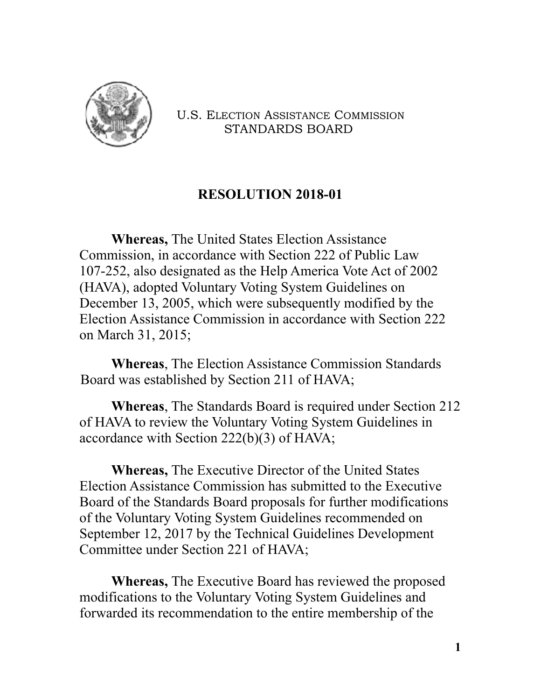

U.S. ELECTION ASSISTANCE COMMISSION STANDARDS BOARD

## **RESOLUTION 2018-01**

**Whereas,** The United States Election Assistance Commission, in accordance with Section 222 of Public Law 107-252, also designated as the Help America Vote Act of 2002 (HAVA), adopted Voluntary Voting System Guidelines on December 13, 2005, which were subsequently modified by the Election Assistance Commission in accordance with Section 222 on March 31, 2015;

**Whereas**, The Election Assistance Commission Standards Board was established by Section 211 of HAVA;

**Whereas**, The Standards Board is required under Section 212 of HAVA to review the Voluntary Voting System Guidelines in accordance with Section 222(b)(3) of HAVA;

**Whereas,** The Executive Director of the United States Election Assistance Commission has submitted to the Executive Board of the Standards Board proposals for further modifications of the Voluntary Voting System Guidelines recommended on September 12, 2017 by the Technical Guidelines Development Committee under Section 221 of HAVA;

**Whereas,** The Executive Board has reviewed the proposed modifications to the Voluntary Voting System Guidelines and forwarded its recommendation to the entire membership of the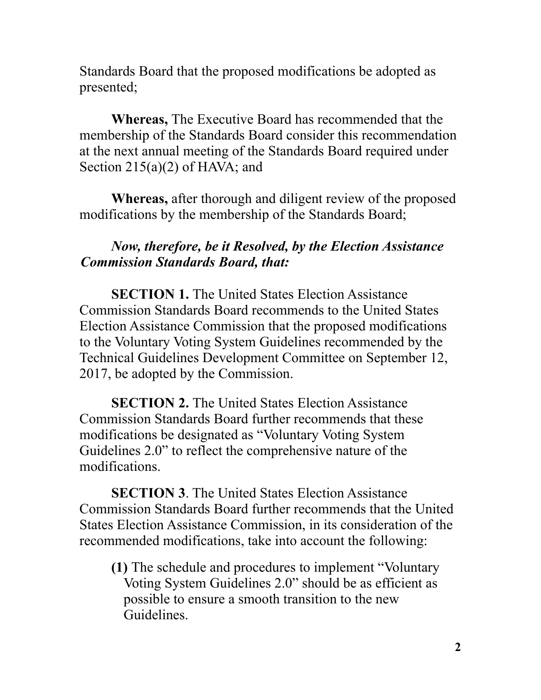Standards Board that the proposed modifications be adopted as presented;

**Whereas,** The Executive Board has recommended that the membership of the Standards Board consider this recommendation at the next annual meeting of the Standards Board required under Section  $215(a)(2)$  of HAVA; and

**Whereas,** after thorough and diligent review of the proposed modifications by the membership of the Standards Board;

## *Now, therefore, be it Resolved, by the Election Assistance Commission Standards Board, that:*

**SECTION 1.** The United States Election Assistance Commission Standards Board recommends to the United States Election Assistance Commission that the proposed modifications to the Voluntary Voting System Guidelines recommended by the Technical Guidelines Development Committee on September 12, 2017, be adopted by the Commission.

**SECTION 2.** The United States Election Assistance Commission Standards Board further recommends that these modifications be designated as "Voluntary Voting System Guidelines 2.0" to reflect the comprehensive nature of the modifications.

**SECTION 3**. The United States Election Assistance Commission Standards Board further recommends that the United States Election Assistance Commission, in its consideration of the recommended modifications, take into account the following:

**(1)** The schedule and procedures to implement "Voluntary Voting System Guidelines 2.0" should be as efficient as possible to ensure a smooth transition to the new Guidelines.